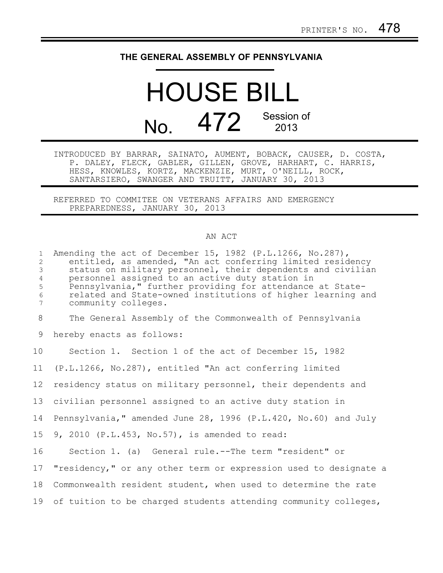## **THE GENERAL ASSEMBLY OF PENNSYLVANIA**

## HOUSE BILL No. 472 Session of

INTRODUCED BY BARRAR, SAINATO, AUMENT, BOBACK, CAUSER, D. COSTA, P. DALEY, FLECK, GABLER, GILLEN, GROVE, HARHART, C. HARRIS, HESS, KNOWLES, KORTZ, MACKENZIE, MURT, O'NEILL, ROCK, SANTARSIERO, SWANGER AND TRUITT, JANUARY 30, 2013

REFERRED TO COMMITEE ON VETERANS AFFAIRS AND EMERGENCY PREPAREDNESS, JANUARY 30, 2013

## AN ACT

| $\mathbf{1}$<br>2<br>3<br>$\overline{4}$<br>5<br>$\epsilon$<br>$7\phantom{.0}$ | Amending the act of December 15, 1982 (P.L.1266, No.287),<br>entitled, as amended, "An act conferring limited residency<br>status on military personnel, their dependents and civilian<br>personnel assigned to an active duty station in<br>Pennsylvania," further providing for attendance at State-<br>related and State-owned institutions of higher learning and<br>community colleges. |
|--------------------------------------------------------------------------------|----------------------------------------------------------------------------------------------------------------------------------------------------------------------------------------------------------------------------------------------------------------------------------------------------------------------------------------------------------------------------------------------|
| 8                                                                              | The General Assembly of the Commonwealth of Pennsylvania                                                                                                                                                                                                                                                                                                                                     |
| 9                                                                              | hereby enacts as follows:                                                                                                                                                                                                                                                                                                                                                                    |
| 10                                                                             | Section 1. Section 1 of the act of December 15, 1982                                                                                                                                                                                                                                                                                                                                         |
| 11                                                                             | (P.L.1266, No.287), entitled "An act conferring limited                                                                                                                                                                                                                                                                                                                                      |
| 12                                                                             | residency status on military personnel, their dependents and                                                                                                                                                                                                                                                                                                                                 |
| 13                                                                             | civilian personnel assigned to an active duty station in                                                                                                                                                                                                                                                                                                                                     |
| 14                                                                             | Pennsylvania," amended June 28, 1996 (P.L.420, No.60) and July                                                                                                                                                                                                                                                                                                                               |
| 15                                                                             | 9, 2010 (P.L.453, No.57), is amended to read:                                                                                                                                                                                                                                                                                                                                                |
| 16                                                                             | Section 1. (a) General rule.--The term "resident" or                                                                                                                                                                                                                                                                                                                                         |
| 17                                                                             | "residency," or any other term or expression used to designate a                                                                                                                                                                                                                                                                                                                             |
| 18                                                                             | Commonwealth resident student, when used to determine the rate                                                                                                                                                                                                                                                                                                                               |
| 19                                                                             | of tuition to be charged students attending community colleges,                                                                                                                                                                                                                                                                                                                              |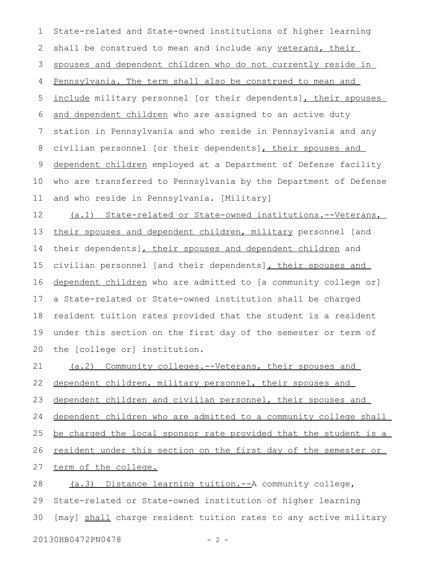State-related and State-owned institutions of higher learning shall be construed to mean and include any veterans, their spouses and dependent children who do not currently reside in Pennsylvania. The term shall also be construed to mean and include military personnel [or their dependents], their spouses and dependent children who are assigned to an active duty station in Pennsylvania and who reside in Pennsylvania and any civilian personnel [or their dependents], their spouses and dependent children employed at a Department of Defense facility who are transferred to Pennsylvania by the Department of Defense and who reside in Pennsylvania. [Military] 1 2 3 4 5 6 7 8 9 10 11

 (a.1) State-related or State-owned institutions.-- Veterans, their spouses and dependent children, military personnel [and their dependents], their spouses and dependent children and civilian personnel [and their dependents]**,** their spouses and dependent children who are admitted to [a community college or] a State-related or State-owned institution shall be charged resident tuition rates provided that the student is a resident under this section on the first day of the semester or term of the [college or] institution. 12 13 14 15 16 17 18 19 20

(a.2) Community colleges.--Veterans, their spouses and 21

dependent children, military personnel, their spouses and 22

dependent children and civilian personnel, their spouses and 23

dependent children who are admitted to a community college shall 24

be charged the local sponsor rate provided that the student is a 25

resident under this section on the first day of the semester or 26

term of the college. 27

(a.3) Distance learning tuition.--A community college, State-related or State-owned institution of higher learning [may] shall charge resident tuition rates to any active military 28 29 30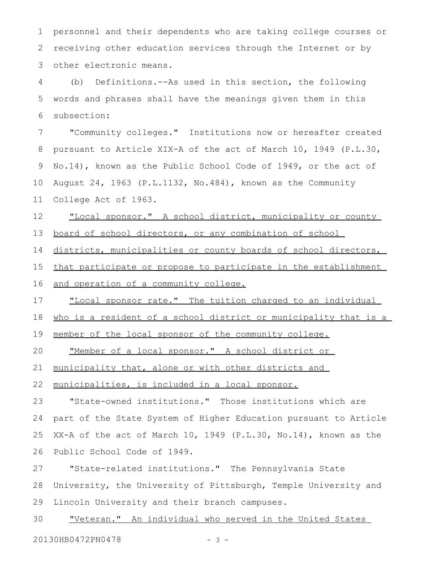personnel and their dependents who are taking college courses or receiving other education services through the Internet or by other electronic means. 1 2 3

(b) Definitions.--As used in this section, the following words and phrases shall have the meanings given them in this subsection: 4 5 6

"Community colleges." Institutions now or hereafter created pursuant to Article XIX-A of the act of March 10, 1949 (P.L.30, No.14), known as the Public School Code of 1949, or the act of August 24, 1963 (P.L.1132, No.484), known as the Community College Act of 1963. 7 8 9 10 11

"Local sponsor." A school district, municipality or county 12

board of school directors, or any combination of school 13

districts, municipalities or county boards of school directors, 14

that participate or propose to participate in the establishment 15

and operation of a community college. 16

" Local sponsor rate. " The tuition charged to an individual 17

who is a resident of a school district or municipality that is a 18

member of the local sponsor of the community college. 19

"Member of a local sponsor." A school district or 20

municipality that, alone or with other districts and 21

municipalities, is included in a local sponsor. 22

"State-owned institutions." Those institutions which are part of the State System of Higher Education pursuant to Article XX-A of the act of March 10, 1949 (P.L.30, No.14), known as the Public School Code of 1949. 23 24 25 26

"State-related institutions." The Pennsylvania State University, the University of Pittsburgh, Temple University and Lincoln University and their branch campuses. 27 28 29

" Veteran. " An individual who served in the United States 30

20130HB0472PN0478 - 3 -